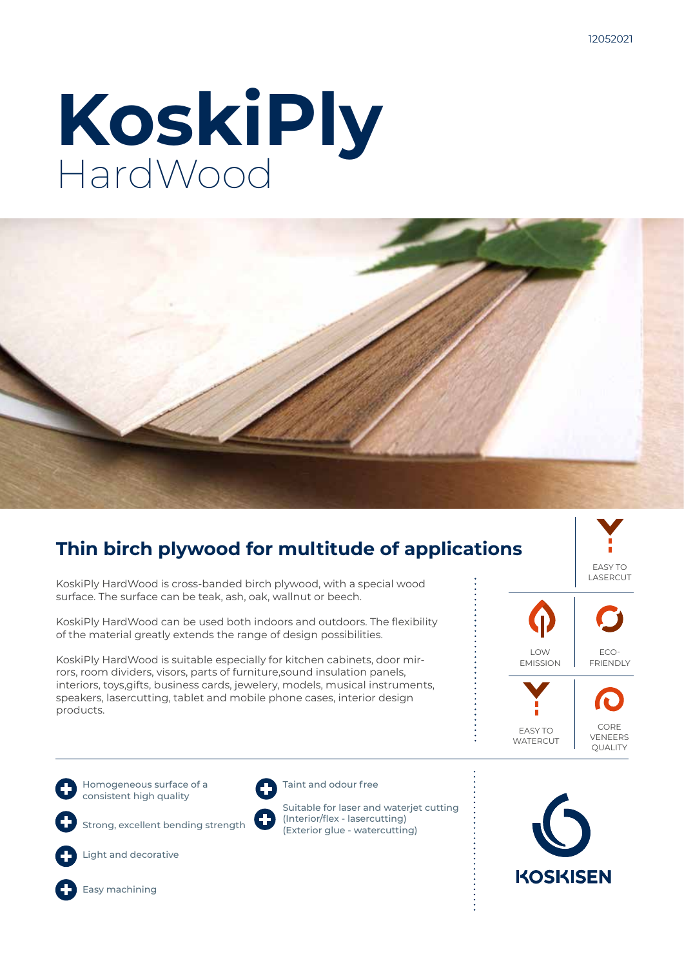# **KoskiPly HardWood**



# **Thin birch plywood for multitude of applications**

KoskiPly HardWood is cross-banded birch plywood, with a special wood surface. The surface can be teak, ash, oak, wallnut or beech.

KoskiPly HardWood can be used both indoors and outdoors. The flexibility of the material greatly extends the range of design possibilities.

KoskiPly HardWood is suitable especially for kitchen cabinets, door mirrors, room dividers, visors, parts of furniture,sound insulation panels, interiors, toys,gifts, business cards, jewelery, models, musical instruments, speakers, lasercutting, tablet and mobile phone cases, interior design products.



Homogeneous surface of a consistent high quality

Strong, excellent bending strength



Light and decorative



Taint and odour free

Suitable for laser and waterjet cutting (Interior/flex - lasercutting) (Exterior glue - watercutting)